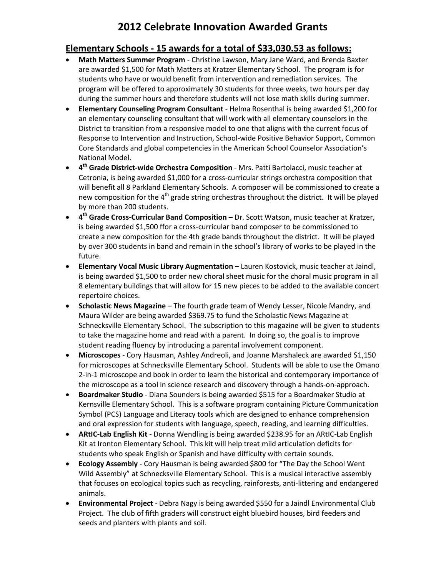## **2012 Celebrate Innovation Awarded Grants**

#### **Elementary Schools - 15 awards for a total of \$33,030.53 as follows:**

- **Math Matters Summer Program** Christine Lawson, Mary Jane Ward, and Brenda Baxter are awarded \$1,500 for Math Matters at Kratzer Elementary School. The program is for students who have or would benefit from intervention and remediation services. The program will be offered to approximately 30 students for three weeks, two hours per day during the summer hours and therefore students will not lose math skills during summer.
- **Elementary Counseling Program Consultant** Helma Rosenthal is being awarded \$1,200 for an elementary counseling consultant that will work with all elementary counselors in the District to transition from a responsive model to one that aligns with the current focus of Response to Intervention and Instruction, School-wide Positive Behavior Support, Common Core Standards and global competencies in the American School Counselor Association's National Model.
- **4 th Grade District-wide Orchestra Composition** Mrs. Patti Bartolacci, music teacher at Cetronia, is being awarded \$1,000 for a cross-curricular strings orchestra composition that will benefit all 8 Parkland Elementary Schools. A composer will be commissioned to create a new composition for the  $4<sup>th</sup>$  grade string orchestras throughout the district. It will be played by more than 200 students.
- **4 th Grade Cross-Curricular Band Composition –** Dr. Scott Watson, music teacher at Kratzer, is being awarded \$1,500 ffor a cross-curricular band composer to be commissioned to create a new composition for the 4th grade bands throughout the district. It will be played by over 300 students in band and remain in the school's library of works to be played in the future.
- **Elementary Vocal Music Library Augmentation –** Lauren Kostovick, music teacher at Jaindl, is being awarded \$1,500 to order new choral sheet music for the choral music program in all 8 elementary buildings that will allow for 15 new pieces to be added to the available concert repertoire choices.
- **Scholastic News Magazine** The fourth grade team of Wendy Lesser, Nicole Mandry, and Maura Wilder are being awarded \$369.75 to fund the Scholastic News Magazine at Schnecksville Elementary School. The subscription to this magazine will be given to students to take the magazine home and read with a parent. In doing so, the goal is to improve student reading fluency by introducing a parental involvement component.
- **Microscopes**  Cory Hausman, Ashley Andreoli, and Joanne Marshaleck are awarded \$1,150 for microscopes at Schnecksville Elementary School. Students will be able to use the Omano 2-in-1 microscope and book in order to learn the historical and contemporary importance of the microscope as a tool in science research and discovery through a hands-on-approach.
- **Boardmaker Studio** Diana Sounders is being awarded \$515 for a Boardmaker Studio at Kernsville Elementary School. This is a software program containing Picture Communication Symbol (PCS) Language and Literacy tools which are designed to enhance comprehension and oral expression for students with language, speech, reading, and learning difficulties.
- **ARtIC-Lab English Kit** Donna Wendling is being awarded \$238.95 for an ARtIC-Lab English Kit at Ironton Elementary School. This kit will help treat mild articulation deficits for students who speak English or Spanish and have difficulty with certain sounds.
- **Ecology Assembly** Cory Hausman is being awarded \$800 for "The Day the School Went Wild Assembly" at Schnecksville Elementary School. This is a musical interactive assembly that focuses on ecological topics such as recycling, rainforests, anti-littering and endangered animals.
- **Environmental Project** Debra Nagy is being awarded \$550 for a Jaindl Environmental Club Project. The club of fifth graders will construct eight bluebird houses, bird feeders and seeds and planters with plants and soil.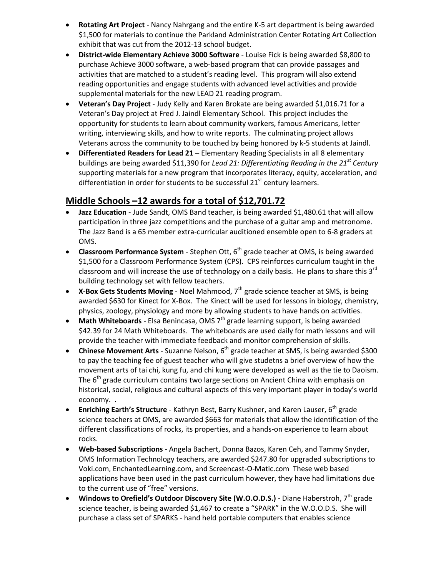- **Rotating Art Project** Nancy Nahrgang and the entire K-5 art department is being awarded \$1,500 for materials to continue the Parkland Administration Center Rotating Art Collection exhibit that was cut from the 2012-13 school budget.
- **District-wide Elementary Achieve 3000 Software** Louise Fick is being awarded \$8,800 to purchase Achieve 3000 software, a web-based program that can provide passages and activities that are matched to a student's reading level. This program will also extend reading opportunities and engage students with advanced level activities and provide supplemental materials for the new LEAD 21 reading program.
- **Veteran's Day Project** Judy Kelly and Karen Brokate are being awarded \$1,016.71 for a Veteran's Day project at Fred J. Jaindl Elementary School. This project includes the opportunity for students to learn about community workers, famous Americans, letter writing, interviewing skills, and how to write reports. The culminating project allows Veterans across the community to be touched by being honored by k-5 students at Jaindl.
- **Differentiated Readers for Lead 21** Elementary Reading Specialists in all 8 elementary buildings are being awarded \$11,390 for *Lead 21: Differentiating Reading in the 21st Century* supporting materials for a new program that incorporates literacy, equity, acceleration, and differentiation in order for students to be successful  $21<sup>st</sup>$  century learners.

#### **Middle Schools –12 awards for a total of \$12,701.72**

- Jazz Education Jude Sandt, OMS Band teacher, is being awarded \$1,480.61 that will allow participation in three jazz competitions and the purchase of a guitar amp and metronome. The Jazz Band is a 65 member extra-curricular auditioned ensemble open to 6-8 graders at OMS.
- **Classroom Performance System** Stephen Ott, 6<sup>th</sup> grade teacher at OMS, is being awarded \$1,500 for a Classroom Performance System (CPS). CPS reinforces curriculum taught in the classroom and will increase the use of technology on a daily basis. He plans to share this  $3^{rd}$ building technology set with fellow teachers.
- **X-Box Gets Students Moving** Noel Mahmood, 7<sup>th</sup> grade science teacher at SMS, is being awarded \$630 for Kinect for X-Box. The Kinect will be used for lessons in biology, chemistry, physics, zoology, physiology and more by allowing students to have hands on activities.
- **Math Whiteboards** Elsa Benincasa, OMS 7<sup>th</sup> grade learning support, is being awarded \$42.39 for 24 Math Whiteboards. The whiteboards are used daily for math lessons and will provide the teacher with immediate feedback and monitor comprehension of skills.
- **Chinese Movement Arts** Suzanne Nelson, 6<sup>th</sup> grade teacher at SMS, is being awarded \$300 to pay the teaching fee of guest teacher who will give studetns a brief overview of how the movement arts of tai chi, kung fu, and chi kung were developed as well as the tie to Daoism. The  $6<sup>th</sup>$  grade curriculum contains two large sections on Ancient China with emphasis on historical, social, religious and cultural aspects of this very important player in today's world economy. .
- **Enriching Earth's Structure** Kathryn Best, Barry Kushner, and Karen Lauser, 6<sup>th</sup> grade science teachers at OMS, are awarded \$663 for materials that allow the identification of the different classifications of rocks, its properties, and a hands-on experience to learn about rocks.
- **Web-based Subscriptions** Angela Bachert, Donna Bazos, Karen Ceh, and Tammy Snyder, OMS Information Technology teachers, are awarded \$247.80 for upgraded subscriptions to Voki.com, EnchantedLearning.com, and Screencast-O-Matic.com These web based applications have been used in the past curriculum however, they have had limitations due to the current use of "free" versions.
- **Windows to Orefield's Outdoor Discovery Site (W.O.O.D.S.) -** Diane Haberstroh, 7th grade science teacher, is being awarded \$1,467 to create a "SPARK" in the W.O.O.D.S. She will purchase a class set of SPARKS - hand held portable computers that enables science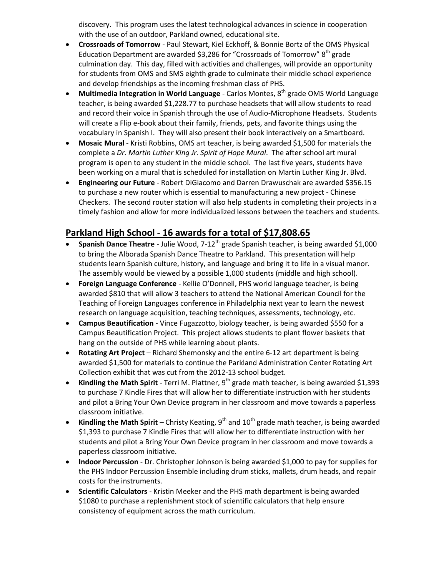discovery. This program uses the latest technological advances in science in cooperation with the use of an outdoor, Parkland owned, educational site.

- **Crossroads of Tomorrow** Paul Stewart, Kiel Eckhoff, & Bonnie Bortz of the OMS Physical Education Department are awarded \$3,286 for "Crossroads of Tomorrow"  $8<sup>th</sup>$  grade culmination day. This day, filled with activities and challenges, will provide an opportunity for students from OMS and SMS eighth grade to culminate their middle school experience and develop friendships as the incoming freshman class of PHS.
- **Multimedia Integration in World Language** Carlos Montes, 8<sup>th</sup> grade OMS World Language teacher, is being awarded \$1,228.77 to purchase headsets that will allow students to read and record their voice in Spanish through the use of Audio-Microphone Headsets. Students will create a Flip e-book about their family, friends, pets, and favorite things using the vocabulary in Spanish I. They will also present their book interactively on a Smartboard.
- **Mosaic Mural** Kristi Robbins, OMS art teacher, is being awarded \$1,500 for materials the complete a *Dr. Martin Luther King Jr. Spirit of Hope Mural*. The after school art mural program is open to any student in the middle school. The last five years, students have been working on a mural that is scheduled for installation on Martin Luther King Jr. Blvd.
- **Engineering our Future** Robert DiGiacomo and Darren Drawuschak are awarded \$356.15 to purchase a new router which is essential to manufacturing a new project - Chinese Checkers. The second router station will also help students in completing their projects in a timely fashion and allow for more individualized lessons between the teachers and students.

#### **Parkland High School - 16 awards for a total of \$17,808.65**

- **Spanish Dance Theatre** Julie Wood, 7-12<sup>th</sup> grade Spanish teacher, is being awarded \$1,000 to bring the Alborada Spanish Dance Theatre to Parkland. This presentation will help students learn Spanish culture, history, and language and bring it to life in a visual manor. The assembly would be viewed by a possible 1,000 students (middle and high school).
- **Foreign Language Conference** Kellie O'Donnell, PHS world language teacher, is being awarded \$810 that will allow 3 teachers to attend the National American Council for the Teaching of Foreign Languages conference in Philadelphia next year to learn the newest research on language acquisition, teaching techniques, assessments, technology, etc.
- **Campus Beautification** Vince Fugazzotto, biology teacher, is being awarded \$550 for a Campus Beautification Project. This project allows students to plant flower baskets that hang on the outside of PHS while learning about plants.
- **Rotating Art Project** Richard Shemonsky and the entire 6-12 art department is being awarded \$1,500 for materials to continue the Parkland Administration Center Rotating Art Collection exhibit that was cut from the 2012-13 school budget.
- **Kindling the Math Spirit** Terri M. Plattner, 9<sup>th</sup> grade math teacher, is being awarded \$1,393 to purchase 7 Kindle Fires that will allow her to differentiate instruction with her students and pilot a Bring Your Own Device program in her classroom and move towards a paperless classroom initiative.
- Kindling the Math Spirit Christy Keating, 9<sup>th</sup> and 10<sup>th</sup> grade math teacher, is being awarded \$1,393 to purchase 7 Kindle Fires that will allow her to differentiate instruction with her students and pilot a Bring Your Own Device program in her classroom and move towards a paperless classroom initiative.
- **Indoor Percussion** Dr. Christopher Johnson is being awarded \$1,000 to pay for supplies for the PHS Indoor Percussion Ensemble including drum sticks, mallets, drum heads, and repair costs for the instruments.
- **Scientific Calculators** Kristin Meeker and the PHS math department is being awarded \$1080 to purchase a replenishment stock of scientific calculators that help ensure consistency of equipment across the math curriculum.